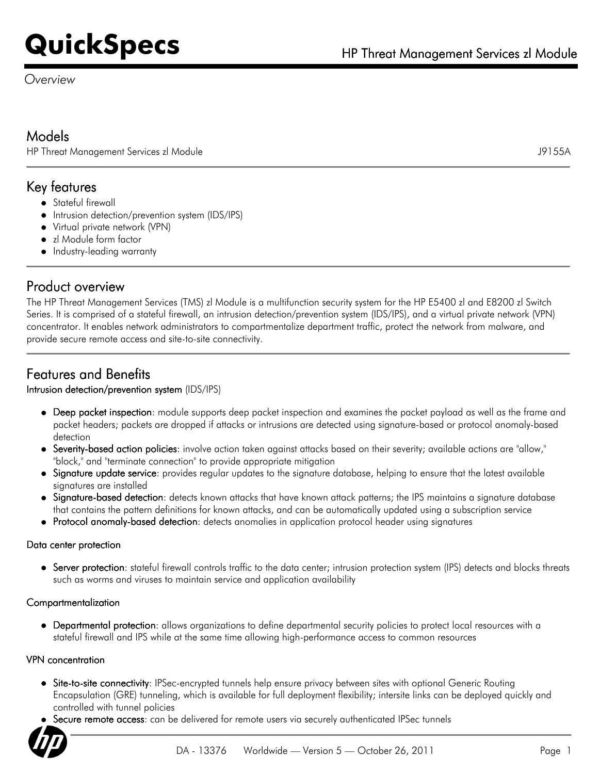*Overview*

# Models

HP Threat Management Services zl Module J9155A

# Key features

- Stateful firewall
- Intrusion detection/prevention system (IDS/IPS)
- Virtual private network (VPN)
- zl Module form factor
- Industry-leading warranty

# Product overview

The HP Threat Management Services (TMS) zl Module is a multifunction security system for the HP E5400 zl and E8200 zl Switch Series. It is comprised of a stateful firewall, an intrusion detection/prevention system (IDS/IPS), and a virtual private network (VPN) concentrator. It enables network administrators to compartmentalize department traffic, protect the network from malware, and provide secure remote access and site-to-site connectivity.

# Features and Benefits

## Intrusion detection/prevention system (IDS/IPS)

- Deep packet inspection: module supports deep packet inspection and examines the packet payload as well as the frame and packet headers; packets are dropped if attacks or intrusions are detected using signature-based or protocol anomaly-based detection
- Severity-based action policies: involve action taken against attacks based on their severity; available actions are "allow," "block," and "terminate connection" to provide appropriate mitigation
- Signature update service: provides regular updates to the signature database, helping to ensure that the latest available signatures are installed
- Signature-based detection: detects known attacks that have known attack patterns; the IPS maintains a signature database that contains the pattern definitions for known attacks, and can be automatically updated using a subscription service
- Protocol anomaly-based detection: detects anomalies in application protocol header using signatures

## Data center protection

Server protection: stateful firewall controls traffic to the data center; intrusion protection system (IPS) detects and blocks threats such as worms and viruses to maintain service and application availability

## Compartmentalization

Departmental protection: allows organizations to define departmental security policies to protect local resources with a stateful firewall and IPS while at the same time allowing high-performance access to common resources

#### VPN concentration

- Site-to-site connectivity: IPSec-encrypted tunnels help ensure privacy between sites with optional Generic Routing Encapsulation (GRE) tunneling, which is available for full deployment flexibility; intersite links can be deployed quickly and controlled with tunnel policies
- Secure remote access: can be delivered for remote users via securely authenticated IPSec tunnels

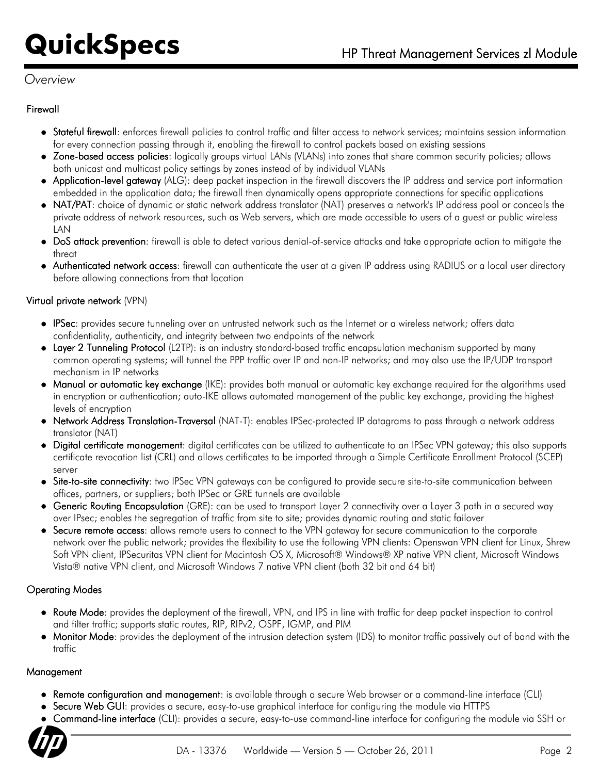# *Overview*

### Firewall

- Stateful firewall: enforces firewall policies to control traffic and filter access to network services; maintains session information for every connection passing through it, enabling the firewall to control packets based on existing sessions
- Zone-based access policies: logically groups virtual LANs (VLANs) into zones that share common security policies; allows both unicast and multicast policy settings by zones instead of by individual VLANs
- Application-level gateway (ALG): deep packet inspection in the firewall discovers the IP address and service port information embedded in the application data; the firewall then dynamically opens appropriate connections for specific applications
- NAT/PAT: choice of dynamic or static network address translator (NAT) preserves a network's IP address pool or conceals the private address of network resources, such as Web servers, which are made accessible to users of a guest or public wireless LAN
- DoS attack prevention: firewall is able to detect various denial-of-service attacks and take appropriate action to mitigate the threat
- Authenticated network access: firewall can authenticate the user at a given IP address using RADIUS or a local user directory before allowing connections from that location

### Virtual private network (VPN)

- IPSec: provides secure tunneling over an untrusted network such as the Internet or a wireless network; offers data confidentiality, authenticity, and integrity between two endpoints of the network
- Layer 2 Tunneling Protocol (L2TP): is an industry standard-based traffic encapsulation mechanism supported by many common operating systems; will tunnel the PPP traffic over IP and non-IP networks; and may also use the IP/UDP transport mechanism in IP networks
- Manual or automatic key exchange (IKE): provides both manual or automatic key exchange required for the algorithms used in encryption or authentication; auto-IKE allows automated management of the public key exchange, providing the highest levels of encryption
- Network Address Translation-Traversal (NAT-T): enables IPSec-protected IP datagrams to pass through a network address translator (NAT)
- Digital certificate management: digital certificates can be utilized to authenticate to an IPSec VPN gateway; this also supports certificate revocation list (CRL) and allows certificates to be imported through a Simple Certificate Enrollment Protocol (SCEP) server
- **Site-to-site connectivity**: two IPSec VPN gateways can be configured to provide secure site-to-site communication between offices, partners, or suppliers; both IPSec or GRE tunnels are available
- **Generic Routing Encapsulation** (GRE): can be used to transport Layer 2 connectivity over a Layer 3 path in a secured way over IPsec; enables the segregation of traffic from site to site; provides dynamic routing and static failover
- Secure remote access: allows remote users to connect to the VPN gateway for secure communication to the corporate network over the public network; provides the flexibility to use the following VPN clients: Openswan VPN client for Linux, Shrew Soft VPN client, IPSecuritas VPN client for Macintosh OS X, Microsoft® Windows® XP native VPN client, Microsoft Windows Vista® native VPN client, and Microsoft Windows 7 native VPN client (both 32 bit and 64 bit)

## Operating Modes

- Route Mode: provides the deployment of the firewall, VPN, and IPS in line with traffic for deep packet inspection to control and filter traffic; supports static routes, RIP, RIPv2, OSPF, IGMP, and PIM
- Monitor Mode: provides the deployment of the intrusion detection system (IDS) to monitor traffic passively out of band with the traffic

## Management

- Remote configuration and management: is available through a secure Web browser or a command-line interface (CLI)
- Secure Web GUI: provides a secure, easy-to-use graphical interface for configuring the module via HTTPS
- Command-line interface (CLI): provides a secure, easy-to-use command-line interface for configuring the module via SSH or

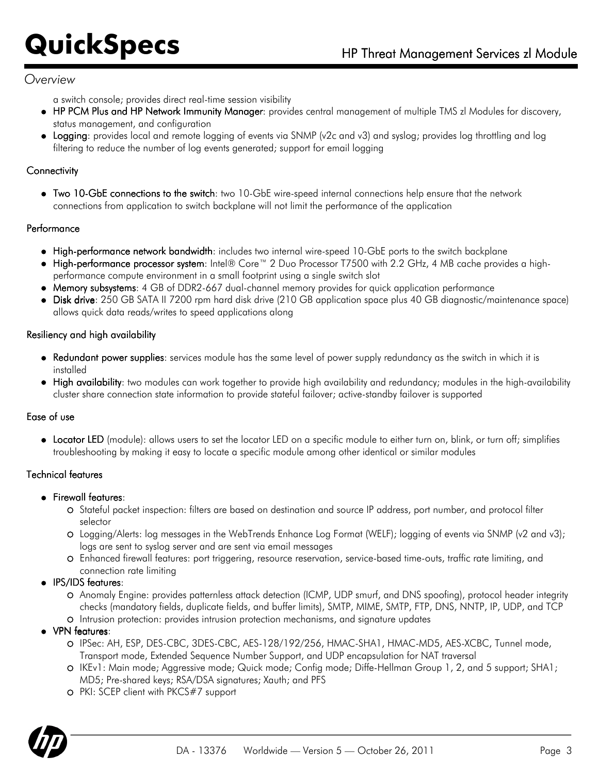## *Overview*

a switch console; provides direct real-time session visibility

- HP PCM Plus and HP Network Immunity Manager: provides central management of multiple TMS zl Modules for discovery, status management, and configuration
- Logging: provides local and remote logging of events via SNMP (v2c and v3) and syslog; provides log throttling and log filtering to reduce the number of log events generated; support for email logging

## **Connectivity**

Two 10-GbE connections to the switch: two 10-GbE wire-speed internal connections help ensure that the network connections from application to switch backplane will not limit the performance of the application

### Performance

- High-performance network bandwidth: includes two internal wire-speed 10-GbE ports to the switch backplane
- High-performance processor system: Intel® Core™ 2 Duo Processor T7500 with 2.2 GHz, 4 MB cache provides a highperformance compute environment in a small footprint using a single switch slot
- Memory subsystems: 4 GB of DDR2-667 dual-channel memory provides for quick application performance
- Disk drive: 250 GB SATA II 7200 rpm hard disk drive (210 GB application space plus 40 GB diagnostic/maintenance space) allows quick data reads/writes to speed applications along

#### Resiliency and high availability

- Redundant power supplies: services module has the same level of power supply redundancy as the switch in which it is installed
- High availability: two modules can work together to provide high availability and redundancy; modules in the high-availability cluster share connection state information to provide stateful failover; active-standby failover is supported

## Ease of use

Locator LED (module): allows users to set the locator LED on a specific module to either turn on, blink, or turn off; simplifies troubleshooting by making it easy to locate a specific module among other identical or similar modules

## Technical features

- **•** Firewall features:
	- Stateful packet inspection: filters are based on destination and source IP address, port number, and protocol filter selector
	- Logging/Alerts: log messages in the WebTrends Enhance Log Format (WELF); logging of events via SNMP (v2 and v3); logs are sent to syslog server and are sent via email messages
	- Enhanced firewall features: port triggering, resource reservation, service-based time-outs, traffic rate limiting, and connection rate limiting
- IPS/IDS features:
	- Anomaly Engine: provides patternless attack detection (ICMP, UDP smurf, and DNS spoofing), protocol header integrity checks (mandatory fields, duplicate fields, and buffer limits), SMTP, MIME, SMTP, FTP, DNS, NNTP, IP, UDP, and TCP
	- Intrusion protection: provides intrusion protection mechanisms, and signature updates
- VPN features:
	- IPSec: AH, ESP, DES-CBC, 3DES-CBC, AES-128/192/256, HMAC-SHA1, HMAC-MD5, AES-XCBC, Tunnel mode, Transport mode, Extended Sequence Number Support, and UDP encapsulation for NAT traversal
	- IKEv1: Main mode; Aggressive mode; Quick mode; Config mode; Diffe-Hellman Group 1, 2, and 5 support; SHA1; MD5; Pre-shared keys; RSA/DSA signatures; Xauth; and PFS
	- PKI: SCEP client with PKCS#7 support

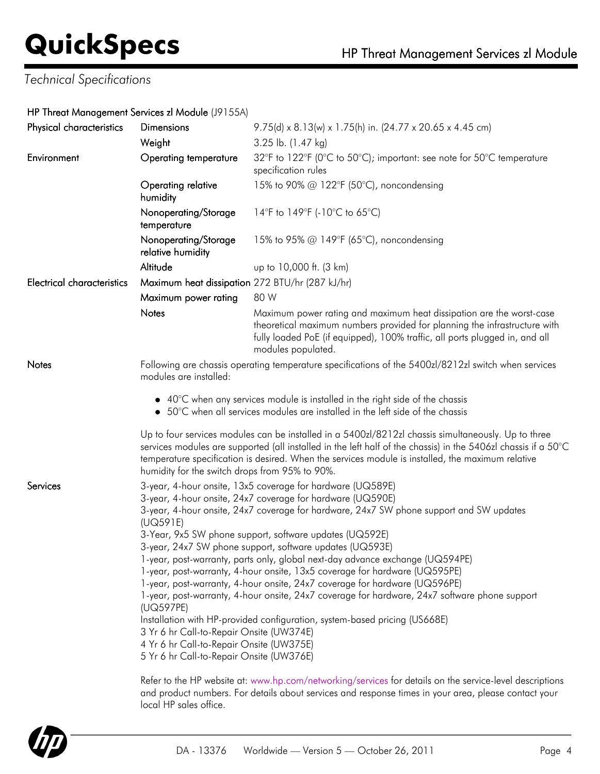# *Technical Specifications*

### HP Threat Management Services zl Module (J9155A)

| 3.25 lb. (1.47 kg)<br>32°F to 122°F (0°C to 50°C); important: see note for 50°C temperature<br><b>Operating temperature</b><br>specification rules<br>Operating relative<br>15% to 90% @ 122°F (50°C), noncondensing<br>14°F to 149°F (-10°C to 65°C)<br>Nonoperating/Storage<br>Nonoperating/Storage<br>15% to 95% @ 149°F (65°C), noncondensing<br>relative humidity<br>up to 10,000 ft. (3 km)<br>Maximum heat dissipation 272 BTU/hr (287 kJ/hr)<br>80 W<br>Maximum power rating<br>Maximum power rating and maximum heat dissipation are the worst-case<br>theoretical maximum numbers provided for planning the infrastructure with<br>fully loaded PoE (if equipped), 100% traffic, all ports plugged in, and all<br>modules populated.<br>Following are chassis operating temperature specifications of the 5400zl/8212zl switch when services<br>modules are installed:<br>• 40°C when any services module is installed in the right side of the chassis<br>• 50°C when all services modules are installed in the left side of the chassis                                                                                                     |  |  |
|---------------------------------------------------------------------------------------------------------------------------------------------------------------------------------------------------------------------------------------------------------------------------------------------------------------------------------------------------------------------------------------------------------------------------------------------------------------------------------------------------------------------------------------------------------------------------------------------------------------------------------------------------------------------------------------------------------------------------------------------------------------------------------------------------------------------------------------------------------------------------------------------------------------------------------------------------------------------------------------------------------------------------------------------------------------------------------------------------------------------------------------------------------|--|--|
|                                                                                                                                                                                                                                                                                                                                                                                                                                                                                                                                                                                                                                                                                                                                                                                                                                                                                                                                                                                                                                                                                                                                                         |  |  |
|                                                                                                                                                                                                                                                                                                                                                                                                                                                                                                                                                                                                                                                                                                                                                                                                                                                                                                                                                                                                                                                                                                                                                         |  |  |
|                                                                                                                                                                                                                                                                                                                                                                                                                                                                                                                                                                                                                                                                                                                                                                                                                                                                                                                                                                                                                                                                                                                                                         |  |  |
|                                                                                                                                                                                                                                                                                                                                                                                                                                                                                                                                                                                                                                                                                                                                                                                                                                                                                                                                                                                                                                                                                                                                                         |  |  |
|                                                                                                                                                                                                                                                                                                                                                                                                                                                                                                                                                                                                                                                                                                                                                                                                                                                                                                                                                                                                                                                                                                                                                         |  |  |
|                                                                                                                                                                                                                                                                                                                                                                                                                                                                                                                                                                                                                                                                                                                                                                                                                                                                                                                                                                                                                                                                                                                                                         |  |  |
|                                                                                                                                                                                                                                                                                                                                                                                                                                                                                                                                                                                                                                                                                                                                                                                                                                                                                                                                                                                                                                                                                                                                                         |  |  |
|                                                                                                                                                                                                                                                                                                                                                                                                                                                                                                                                                                                                                                                                                                                                                                                                                                                                                                                                                                                                                                                                                                                                                         |  |  |
|                                                                                                                                                                                                                                                                                                                                                                                                                                                                                                                                                                                                                                                                                                                                                                                                                                                                                                                                                                                                                                                                                                                                                         |  |  |
|                                                                                                                                                                                                                                                                                                                                                                                                                                                                                                                                                                                                                                                                                                                                                                                                                                                                                                                                                                                                                                                                                                                                                         |  |  |
| Up to four services modules can be installed in a 5400zl/8212zl chassis simultaneously. Up to three<br>services modules are supported (all installed in the left half of the chassis) in the 5406zl chassis if a 50°C<br>temperature specification is desired. When the services module is installed, the maximum relative<br>humidity for the switch drops from 95% to 90%.                                                                                                                                                                                                                                                                                                                                                                                                                                                                                                                                                                                                                                                                                                                                                                            |  |  |
| 3-year, 4-hour onsite, 13x5 coverage for hardware (UQ589E)<br>3-year, 4-hour onsite, 24x7 coverage for hardware (UQ590E)<br>3-year, 4-hour onsite, 24x7 coverage for hardware, 24x7 SW phone support and SW updates<br>(UQ591E)<br>3-Year, 9x5 SW phone support, software updates (UQ592E)<br>3-year, 24x7 SW phone support, software updates (UQ593E)<br>1-year, post-warranty, parts only, global next-day advance exchange (UQ594PE)<br>1-year, post-warranty, 4-hour onsite, 13x5 coverage for hardware (UQ595PE)<br>1-year, post-warranty, 4-hour onsite, 24x7 coverage for hardware (UQ596PE)<br>1-year, post-warranty, 4-hour onsite, 24x7 coverage for hardware, 24x7 software phone support<br>(UQ597PE)<br>Installation with HP-provided configuration, system-based pricing (US668E)<br>3 Yr 6 hr Call-to-Repair Onsite (UW374E)<br>4 Yr 6 hr Call-to-Repair Onsite (UW375E)<br>5 Yr 6 hr Call-to-Repair Onsite (UW376E)<br>Refer to the HP website at: www.hp.com/networking/services for details on the service-level descriptions<br>and product numbers. For details about services and response times in your area, please contact your |  |  |
|                                                                                                                                                                                                                                                                                                                                                                                                                                                                                                                                                                                                                                                                                                                                                                                                                                                                                                                                                                                                                                                                                                                                                         |  |  |



local HP sales office.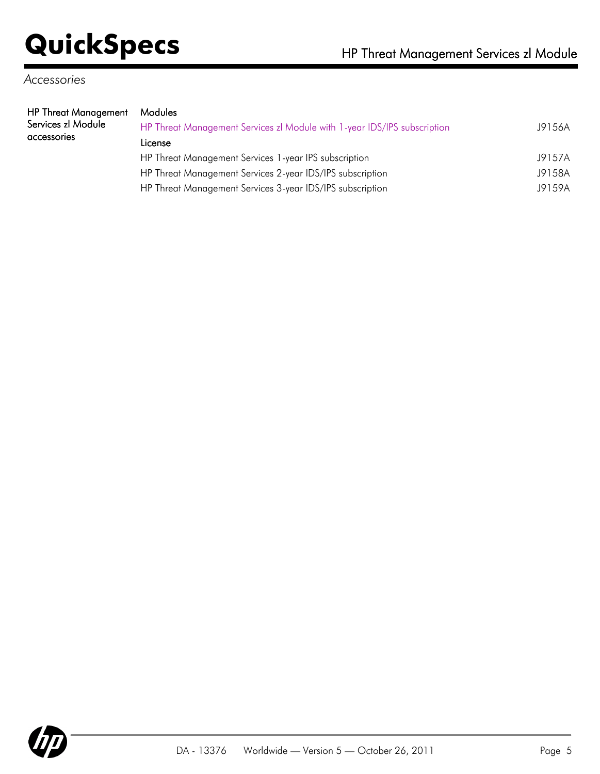# *Accessories*

| HP Threat Management | Modules                                                                  |        |
|----------------------|--------------------------------------------------------------------------|--------|
| Services zl Module   | HP Threat Management Services zl Module with 1-year IDS/IPS subscription | J9156A |
| accessories          | License                                                                  |        |
|                      | $\blacksquare$                                                           | 101571 |

HP Threat Management Services 1-year IPS subscription J9157A HP Threat Management Services 2-year IDS/IPS subscription J9158A HP Threat Management Services 3-year IDS/IPS subscription J9159A

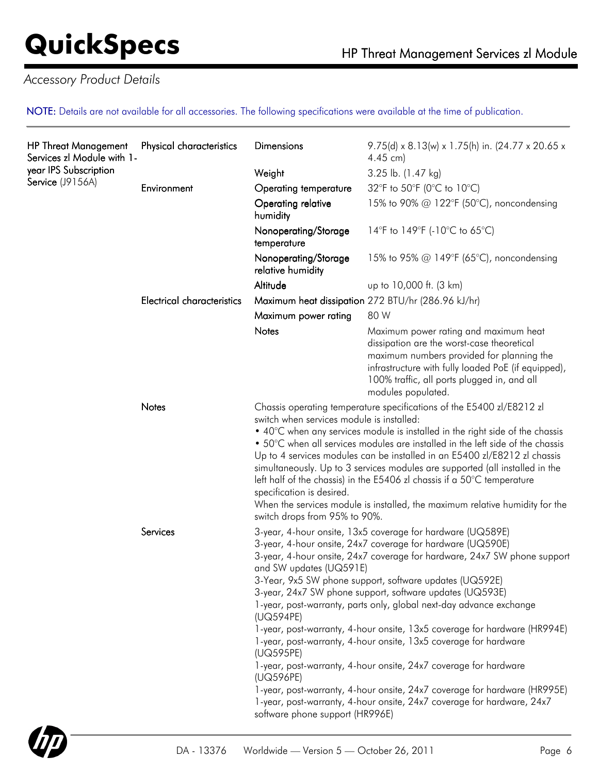# *Accessory Product Details*

NOTE: Details are not available for all accessories. The following specifications were available at the time of publication.

| <b>HP Threat Management</b><br>Services zl Module with 1-<br>year IPS Subscription<br>Service (J9156A) | Physical characteristics          | <b>Dimensions</b>                                                                                                                                                                                                                                                                                                                                                                                                                                                                                                                                                                                                                                                                                                                                                                                                                                                                                                    | 9.75(d) x 8.13(w) x 1.75(h) in. (24.77 x 20.65 x<br>$4.45$ cm)                                                                                                                                                                                                                                                                                                                                                                                                                                                                                                             |
|--------------------------------------------------------------------------------------------------------|-----------------------------------|----------------------------------------------------------------------------------------------------------------------------------------------------------------------------------------------------------------------------------------------------------------------------------------------------------------------------------------------------------------------------------------------------------------------------------------------------------------------------------------------------------------------------------------------------------------------------------------------------------------------------------------------------------------------------------------------------------------------------------------------------------------------------------------------------------------------------------------------------------------------------------------------------------------------|----------------------------------------------------------------------------------------------------------------------------------------------------------------------------------------------------------------------------------------------------------------------------------------------------------------------------------------------------------------------------------------------------------------------------------------------------------------------------------------------------------------------------------------------------------------------------|
|                                                                                                        |                                   | Weight                                                                                                                                                                                                                                                                                                                                                                                                                                                                                                                                                                                                                                                                                                                                                                                                                                                                                                               | 3.25 lb. (1.47 kg)                                                                                                                                                                                                                                                                                                                                                                                                                                                                                                                                                         |
|                                                                                                        | Environment                       | Operating temperature                                                                                                                                                                                                                                                                                                                                                                                                                                                                                                                                                                                                                                                                                                                                                                                                                                                                                                | 32°F to 50°F (0°C to 10°C)                                                                                                                                                                                                                                                                                                                                                                                                                                                                                                                                                 |
|                                                                                                        |                                   | Operating relative<br>humidity                                                                                                                                                                                                                                                                                                                                                                                                                                                                                                                                                                                                                                                                                                                                                                                                                                                                                       | 15% to 90% @ 122°F (50°C), noncondensing                                                                                                                                                                                                                                                                                                                                                                                                                                                                                                                                   |
|                                                                                                        |                                   | Nonoperating/Storage<br>temperature                                                                                                                                                                                                                                                                                                                                                                                                                                                                                                                                                                                                                                                                                                                                                                                                                                                                                  | 14°F to 149°F (-10°C to 65°C)                                                                                                                                                                                                                                                                                                                                                                                                                                                                                                                                              |
|                                                                                                        |                                   | Nonoperating/Storage<br>relative humidity                                                                                                                                                                                                                                                                                                                                                                                                                                                                                                                                                                                                                                                                                                                                                                                                                                                                            | 15% to 95% @ 149°F (65°C), noncondensing                                                                                                                                                                                                                                                                                                                                                                                                                                                                                                                                   |
|                                                                                                        |                                   | Altitude                                                                                                                                                                                                                                                                                                                                                                                                                                                                                                                                                                                                                                                                                                                                                                                                                                                                                                             | up to 10,000 ft. (3 km)                                                                                                                                                                                                                                                                                                                                                                                                                                                                                                                                                    |
|                                                                                                        | <b>Electrical characteristics</b> |                                                                                                                                                                                                                                                                                                                                                                                                                                                                                                                                                                                                                                                                                                                                                                                                                                                                                                                      | Maximum heat dissipation 272 BTU/hr (286.96 kJ/hr)                                                                                                                                                                                                                                                                                                                                                                                                                                                                                                                         |
|                                                                                                        |                                   | Maximum power rating                                                                                                                                                                                                                                                                                                                                                                                                                                                                                                                                                                                                                                                                                                                                                                                                                                                                                                 | 80 W                                                                                                                                                                                                                                                                                                                                                                                                                                                                                                                                                                       |
|                                                                                                        |                                   | Notes                                                                                                                                                                                                                                                                                                                                                                                                                                                                                                                                                                                                                                                                                                                                                                                                                                                                                                                | Maximum power rating and maximum heat<br>dissipation are the worst-case theoretical<br>maximum numbers provided for planning the<br>infrastructure with fully loaded PoE (if equipped),<br>100% traffic, all ports plugged in, and all<br>modules populated.                                                                                                                                                                                                                                                                                                               |
|                                                                                                        | Notes                             | switch when services module is installed:<br>specification is desired.                                                                                                                                                                                                                                                                                                                                                                                                                                                                                                                                                                                                                                                                                                                                                                                                                                               | Chassis operating temperature specifications of the E5400 zl/E8212 zl<br>• 40°C when any services module is installed in the right side of the chassis<br>• 50°C when all services modules are installed in the left side of the chassis<br>Up to 4 services modules can be installed in an E5400 zl/E8212 zl chassis<br>simultaneously. Up to 3 services modules are supported (all installed in the<br>left half of the chassis) in the E5406 zl chassis if a 50 $\degree$ C temperature<br>When the services module is installed, the maximum relative humidity for the |
|                                                                                                        | Services                          | switch drops from 95% to 90%.<br>3-year, 4-hour onsite, 13x5 coverage for hardware (UQ589E)<br>3-year, 4-hour onsite, 24x7 coverage for hardware (UQ590E)<br>3-year, 4-hour onsite, 24x7 coverage for hardware, 24x7 SW phone support<br>and SW updates (UQ591E)<br>3-Year, 9x5 SW phone support, software updates (UQ592E)<br>3-year, 24x7 SW phone support, software updates (UQ593E)<br>1-year, post-warranty, parts only, global next-day advance exchange<br>(UQ594PE)<br>1-year, post-warranty, 4-hour onsite, 13x5 coverage for hardware (HR994E)<br>1-year, post-warranty, 4-hour onsite, 13x5 coverage for hardware<br>(UQ595PE)<br>1-year, post-warranty, 4-hour onsite, 24x7 coverage for hardware<br>(UQ596PE)<br>1-year, post-warranty, 4-hour onsite, 24x7 coverage for hardware (HR995E)<br>1-year, post-warranty, 4-hour onsite, 24x7 coverage for hardware, 24x7<br>software phone support (HR996E) |                                                                                                                                                                                                                                                                                                                                                                                                                                                                                                                                                                            |